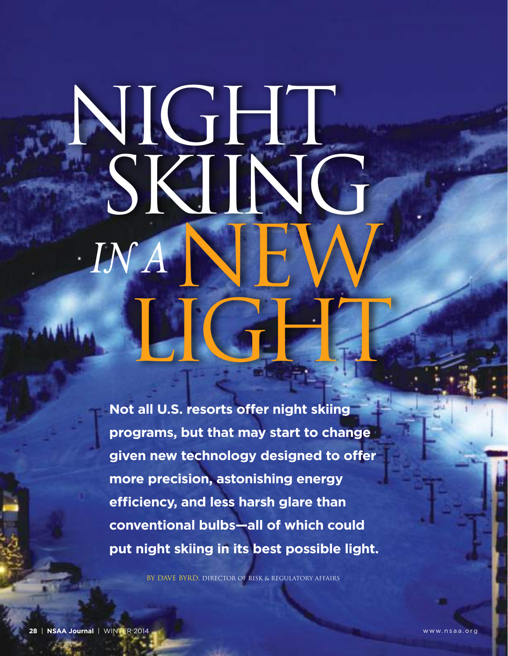## $JNA$   $\blacksquare$ **MEIGHT**  NIGHT SKIING

**Not all U.S. resorts offer night skiing programs, but that may start to change given new technology designed to offer more precision, astonishing energy efficiency, and less harsh glare than conventional bulbs—all of which could put night skiing in its best possible light.**

By Dave Byrd, Director of Risk & Regulatory Affairs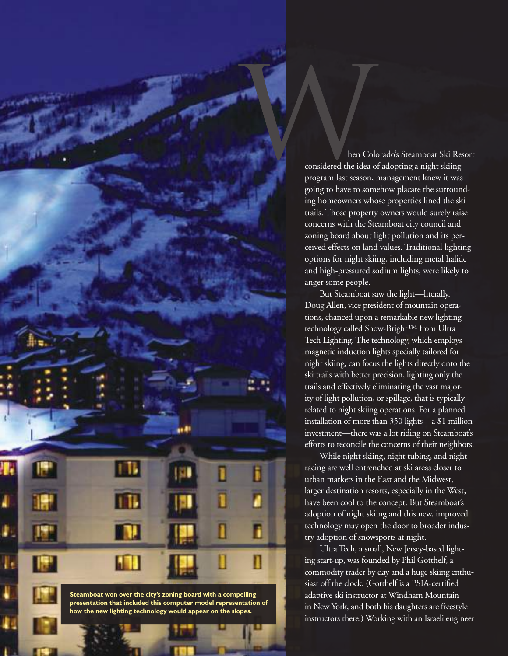ken Colorado's Steamboat Ski Resort<br>hen Colorado's Steamboat Ski Resort<br>considered the idea of adopting a night skiing<br>program last season, management knew it was considered the idea of adopting a night skiing program last season, management knew it was going to have to somehow placate the surrounding homeowners whose properties lined the ski trails. Those property owners would surely raise concerns with the Steamboat city council and zoning board about light pollution and its perceived effects on land values. Traditional lighting options for night skiing, including metal halide and high-pressured sodium lights, were likely to anger some people.

> But Steamboat saw the light—literally. Doug Allen, vice president of mountain operations, chanced upon a remarkable new lighting technology called Snow-Bright™ from Ultra Tech Lighting. The technology, which employs magnetic induction lights specially tailored for night skiing, can focus the lights directly onto the ski trails with better precision, lighting only the trails and effectively eliminating the vast majority of light pollution, or spillage, that is typically related to night skiing operations. For a planned installation of more than 350 lights—a \$1 million investment—there was a lot riding on Steamboat's efforts to reconcile the concerns of their neighbors.

While night skiing, night tubing, and night racing are well entrenched at ski areas closer to urban markets in the East and the Midwest, larger destination resorts, especially in the West, have been cool to the concept. But Steamboat's adoption of night skiing and this new, improved technology may open the door to broader industry adoption of snowsports at night.

UltraTech, a small, New Jersey-based lighting start-up, was founded by Phil Gotthelf, a commodity trader by day and a huge skiing enthusiast off the clock. (Gotthelf is a PSIA-certified adaptive ski instructor at Windham Mountain in New York, and both his daughters are freestyle instructors there.) Working with an Israeli engineer

**Steamboat won over the city's zoning board with a compelling presentation that included this computer model representation of how the new lighting technology would appear on the slopes.**

w w w w. n s a s a s a s a s a s a c rg WINTER 2014 **and 2014** and 2014 and 2014 and 2014 and 2014 and 2014 and 2014 and 2014 and 2014 and 2014 and 2014 and 2014 and 2014 and 2014 and 2014 and 2014 and 2014 and 2014 and 20

Б

ñ

П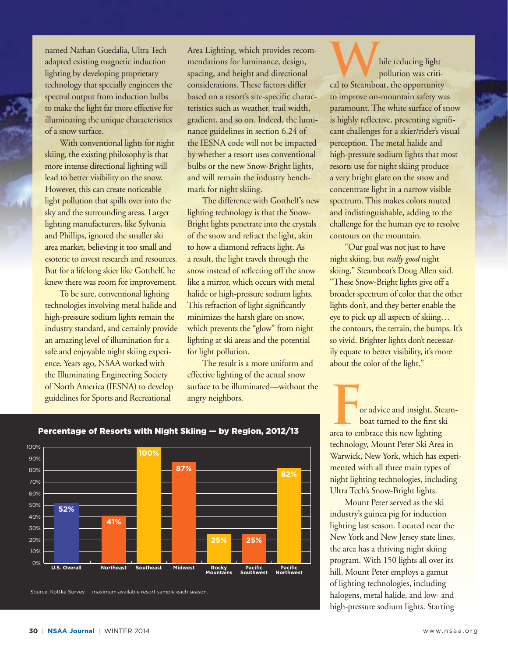named Nathan Guedalia, UltraTech adapted existing magnetic induction lighting by developing proprietary technology that specially engineers the spectral output from induction bulbs to make the light far more effective for illuminating the unique characteristics of a snow surface.

With conventional lights for night skiing, the existing philosophy is that more intense directional lighting will lead to better visibility on the snow. However, this can create noticeable light pollution that spills over into the sky and the surrounding areas. Larger lighting manufacturers, like Sylvania and Phillips, ignored the smaller ski area market, believing it too small and esoteric to invest research and resources. But for a lifelong skier like Gotthelf, he knew there was room for improvement.

To be sure, conventional lighting technologies involving metal halide and high-pressure sodium lights remain the industry standard, and certainly provide an amazing level of illumination for a safe and enjoyable night skiing experience. Years ago, NSAA worked with the Illuminating Engineering Society of North America (IESNA) to develop guidelines for Sports and Recreational

Area Lighting, which provides recommendations for luminance, design, spacing, and height and directional considerations. These factors differ based on a resort's site-specific characteristics such as weather, trail width, gradient, and so on. Indeed, the luminance guidelines in section 6.24 of the IESNA code will not be impacted by whether a resort uses conventional bulbs or the new Snow-Bright lights, and will remain the industry benchmark for night skiing.

The difference with Gotthelf's new lighting technology is that the Snow-Bright lights penetrate into the crystals of the snow and refract the light, akin to how a diamond refracts light. As a result, the light travels through the snow instead of reflecting off the snow like a mirror, which occurs with metal halide or high-pressure sodium lights. This refraction of light significantly minimizes the harsh glare on snow, which prevents the "glow" from night lighting at ski areas and the potential for light pollution.

The result is a more uniform and effective lighting of the actual snow surface to be illuminated—without the angry neighbors.

**W**hile reducing light<br>pollution was critical to Steamboat, the opportunity pollution was critito improve on-mountain safety was paramount. The white surface of snow is highly reflective, presenting significant challenges for a skier/rider's visual perception. The metal halide and high-pressure sodium lights that most resorts use for night skiing produce a very bright glare on the snow and concentrate light in a narrow visible spectrum. This makes colors muted and indistinguishable, adding to the challenge for the human eye to resolve contours on the mountain.

"Our goal was not just to have night skiing, but *really good* night skiing," Steamboat's Doug Allen said. "These Snow-Bright lights give off a broader spectrum of color that the other lights don't, and they better enable the eye to pick up all aspects of skiing… the contours, the terrain, the bumps. It's so vivid. Brighter lights don't necessarily equate to better visibility, it's more about the color of the light."

or advice and insight, Steamboat turned to the first ski area to embrace this new lighting technology, Mount Peter Ski Area in Warwick, New York, which has experimented with all three main types of night lighting technologies, including Ultra Tech's Snow-Bright lights.

Mount Peter served as the ski industry's guinea pig for induction lighting last season. Located near the New York and New Jersey state lines, the area has a thriving night skiing program. With 150 lights all over its hill, Mount Peter employs a gamut of lighting technologies, including halogens, metal halide, and low- and high-pressure sodium lights. Starting

## Percentage of Resorts with Night Skiing — by Region, 2012/13

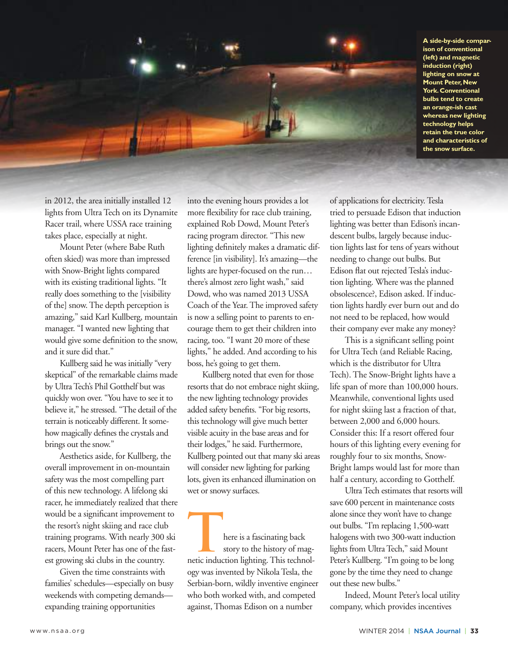**A side-by-side comparison of conventional (left) and magnetic induction (right) lighting on snow at Mount Peter, New York. Conventional bulbs tend to create an orange-ish cast whereas new lighting technology helps retain the true color and characteristics of the snow surface.**



in 2012, the area initially installed 12 lights from Ultra Tech on its Dynamite Racer trail, where USSA race training takes place, especially at night.

Mount Peter (where Babe Ruth often skied) was more than impressed with Snow-Bright lights compared with its existing traditional lights. "It really does something to the [visibility of the] snow.The depth perception is amazing," said Karl Kullberg, mountain manager. "I wanted new lighting that would give some definition to the snow, and it sure did that."

Kullberg said he was initially "very skeptical" of the remarkable claims made by UltraTech's Phil Gotthelf but was quickly won over. "You have to see it to believe it," he stressed. "The detail of the terrain is noticeably different. It somehow magically defines the crystals and brings out the snow."

Aesthetics aside, for Kullberg, the overall improvement in on-mountain safety was the most compelling part of this new technology. A lifelong ski racer, he immediately realized that there would be a significant improvement to the resort's night skiing and race club training programs. With nearly 300 ski racers, Mount Peter has one of the fastest growing ski clubs in the country.

Given the time constraints with families' schedules—especially on busy weekends with competing demands expanding training opportunities

into the evening hours provides a lot more flexibility for race club training, explained Rob Dowd, Mount Peter's racing program director. "This new lighting definitely makes a dramatic difference [in visibility]. It's amazing—the lights are hyper-focused on the run… there's almost zero light wash," said Dowd, who was named 2013 USSA Coach of the Year. The improved safety is now a selling point to parents to encourage them to get their children into racing, too. "I want 20 more of these lights," he added. And according to his boss, he's going to get them.

Kullberg noted that even for those resorts that do not embrace night skiing, the new lighting technology provides added safety benefits. "For big resorts, this technology will give much better visible acuity in the base areas and for their lodges," he said. Furthermore, Kullberg pointed out that many ski areas will consider new lighting for parking lots, given its enhanced illumination on wet or snowy surfaces.

**THERE IS A FASCILLE SERVERT OF THE SERVERT OF THE SERVERT OF THE SERVERT OF THE SERVERT OF THE SERVERT OF THE SERVERT OF THE SERVERT OF THE SERVERT OF THE SERVERT OF THE SERVERT OF THE SERVERT OF THE SERVERT OF THE SERVER** story to the history of magogy was invented by NikolaTesla, the Serbian-born, wildly inventive engineer who both worked with, and competed against,Thomas Edison on a number

of applications for electricity.Tesla tried to persuade Edison that induction lighting was better than Edison's incandescent bulbs, largely because induction lights last for tens of years without needing to change out bulbs. But Edison flat out rejected Tesla's induction lighting. Where was the planned obsolescence?, Edison asked. If induction lights hardly ever burn out and do not need to be replaced, how would their company ever make any money?

This is a significant selling point for Ultra Tech (and Reliable Racing, which is the distributor for Ultra Tech). The Snow-Bright lights have a life span of more than 100,000 hours. Meanwhile, conventional lights used for night skiing last a fraction of that, between 2,000 and 6,000 hours. Consider this: If a resort offered four hours of this lighting every evening for roughly four to six months, Snow-Bright lamps would last for more than half a century, according to Gotthelf.

UltraTech estimates that resorts will save 600 percent in maintenance costs alone since they won't have to change out bulbs. "I'm replacing 1,500-watt halogens with two 300-watt induction lights from UltraTech," said Mount Peter's Kullberg. "I'm going to be long gone by the time they need to change out these new bulbs."

Indeed, Mount Peter's local utility company, which provides incentives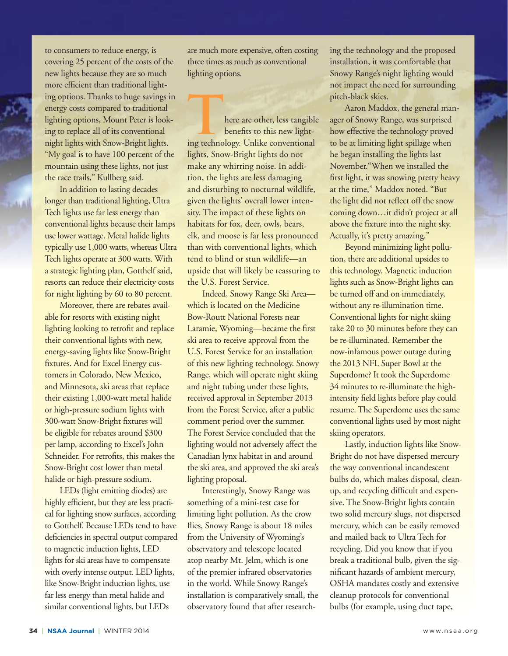to consumers to reduce energy, is covering 25 percent of the costs of the new lights because they are so much more efficient than traditional lighting options. Thanks to huge savings in energy costs compared to traditional lighting options, Mount Peter is looking to replace all of its conventional night lights with Snow-Bright lights. "My goal is to have 100 percent of the mountain using these lights, not just the race trails," Kullberg said.

In addition to lasting decades longer than traditional lighting, Ultra Tech lights use far less energy than conventional lights because their lamps use lower wattage. Metal halide lights typically use 1,000 watts, whereas Ultra Tech lights operate at 300 watts. With a strategic lighting plan, Gotthelf said, resorts can reduce their electricity costs for night lighting by 60 to 80 percent.

Moreover, there are rebates available for resorts with existing night lighting looking to retrofit and replace their conventional lights with new, energy-saving lights like Snow-Bright fixtures. And for Excel Energy customers in Colorado, New Mexico, and Minnesota, ski areas that replace their existing 1,000-watt metal halide or high-pressure sodium lights with 300-watt Snow-Bright fixtures will be eligible for rebates around \$300 per lamp, according to Excel's John Schneider. For retrofits, this makes the Snow-Bright cost lower than metal halide or high-pressure sodium.

LEDs (light emitting diodes) are highly efficient, but they are less practical for lighting snow surfaces, according to Gotthelf. Because LEDs tend to have deficiencies in spectral output compared to magnetic induction lights, LED lights for ski areas have to compensate with overly intense output. LED lights, like Snow-Bright induction lights, use far less energy than metal halide and similar conventional lights, but LEDs

are much more expensive, often costing three times as much as conventional lighting options.

**There are other, less tangible**<br>
benefits to this new light-<br>
ing technology. Unlike conventional benefits to this new lightlights, Snow-Bright lights do not make any whirring noise. In addition, the lights are less damaging and disturbing to nocturnal wildlife, given the lights' overall lower intensity. The impact of these lights on habitats for fox, deer, owls, bears, elk, and moose is far less pronounced than with conventional lights, which tend to blind or stun wildlife—an upside that will likely be reassuring to the U.S. Forest Service.

Indeed, Snowy Range Ski Area which is located on the Medicine Bow-Routt National Forests near Laramie, Wyoming—became the first ski area to receive approval from the U.S. Forest Service for an installation of this new lighting technology. Snowy Range, which will operate night skiing and night tubing under these lights, received approval in September 2013 from the Forest Service, after a public comment period over the summer. The Forest Service concluded that the lighting would not adversely affect the Canadian lynx habitat in and around the ski area, and approved the ski area's lighting proposal.

Interestingly, Snowy Range was something of a mini-test case for limiting light pollution. As the crow flies, Snowy Range is about 18 miles from the University of Wyoming's observatory and telescope located atop nearby Mt. Jelm, which is one of the premier infrared observatories in the world. While Snowy Range's installation is comparatively small, the observatory found that after researching the technology and the proposed installation, it was comfortable that Snowy Range's night lighting would not impact the need for surrounding pitch-black skies.

Aaron Maddox, the general manager of Snowy Range, was surprised how effective the technology proved to be at limiting light spillage when he began installing the lights last November."When we installed the first light, it was snowing pretty heavy at the time," Maddox noted. "But the light did not reflect off the snow coming down…it didn't project at all above the fixture into the night sky. Actually, it's pretty amazing."

Beyond minimizing light pollution, there are additional upsides to this technology. Magnetic induction lights such as Snow-Bright lights can be turned off and on immediately, without any re-illumination time. Conventional lights for night skiing take 20 to 30 minutes before they can be re-illuminated. Remember the now-infamous power outage during the 2013 NFL Super Bowl at the Superdome? It took the Superdome 34 minutes to re-illuminate the highintensity field lights before play could resume. The Superdome uses the same conventional lights used by most night skiing operators.

Lastly, induction lights like Snow-Bright do not have dispersed mercury the way conventional incandescent bulbs do, which makes disposal, cleanup, and recycling difficult and expensive. The Snow-Bright lights contain two solid mercury slugs, not dispersed mercury, which can be easily removed and mailed back to Ultra Tech for recycling. Did you know that if you break a traditional bulb, given the significant hazards of ambient mercury, OSHA mandates costly and extensive cleanup protocols for conventional bulbs (for example, using duct tape,